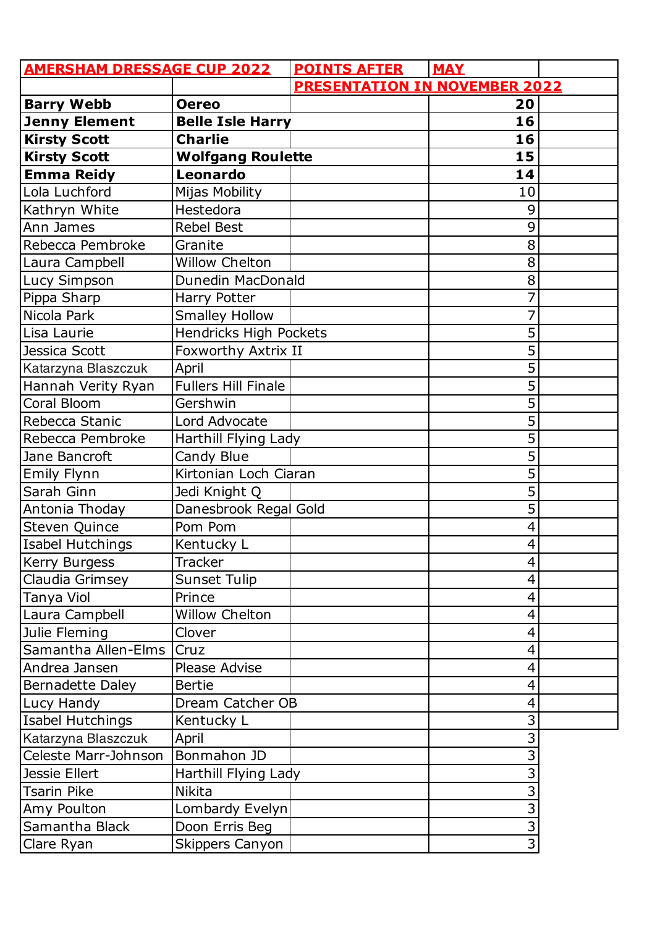| <b>AMERSHAM DRESSAGE CUP 2022</b> |                            | <b>POINTS AFTER</b>                  | <b>MAY</b>     |  |
|-----------------------------------|----------------------------|--------------------------------------|----------------|--|
|                                   |                            | <b>PRESENTATION IN NOVEMBER 2022</b> |                |  |
| <b>Barry Webb</b>                 | <b>Oereo</b>               |                                      | 20             |  |
| <b>Jenny Element</b>              | <b>Belle Isle Harry</b>    |                                      | 16             |  |
| <b>Kirsty Scott</b>               | <b>Charlie</b>             |                                      | 16             |  |
| <b>Kirsty Scott</b>               | <b>Wolfgang Roulette</b>   |                                      | 15             |  |
| <b>Emma Reidy</b>                 | Leonardo                   |                                      | 14             |  |
| Lola Luchford                     | Mijas Mobility             |                                      | 10             |  |
| Kathryn White                     | Hestedora                  |                                      | 9              |  |
| Ann James                         | <b>Rebel Best</b>          |                                      | 9              |  |
| Rebecca Pembroke                  | Granite                    |                                      | 8              |  |
| Laura Campbell                    | <b>Willow Chelton</b>      |                                      | 8              |  |
| Lucy Simpson                      | Dunedin MacDonald          |                                      | 8              |  |
| Pippa Sharp                       | Harry Potter               |                                      | 7              |  |
| Nicola Park                       | <b>Smalley Hollow</b>      |                                      | 7              |  |
| Lisa Laurie                       | Hendricks High Pockets     |                                      | 5              |  |
| Jessica Scott                     | Foxworthy Axtrix II        |                                      | 5              |  |
| Katarzyna Blaszczuk               | April                      |                                      | 5              |  |
| Hannah Verity Ryan                | <b>Fullers Hill Finale</b> |                                      | 5              |  |
| Coral Bloom                       | Gershwin                   |                                      | 5              |  |
| Rebecca Stanic                    | Lord Advocate              |                                      | 5              |  |
| Rebecca Pembroke                  | Harthill Flying Lady       |                                      | 5              |  |
| Jane Bancroft                     | Candy Blue                 |                                      | 5              |  |
| <b>Emily Flynn</b>                | Kirtonian Loch Ciaran      |                                      | 5              |  |
| Sarah Ginn                        | Jedi Knight Q              |                                      | 5              |  |
| Antonia Thoday                    | Danesbrook Regal Gold      |                                      | 5              |  |
| Steven Quince                     | Pom Pom                    |                                      | 4              |  |
| Isabel Hutchings                  | Kentucky L                 |                                      | $\overline{4}$ |  |
| Kerry Burgess                     | <b>Tracker</b>             |                                      | 4              |  |
| Claudia Grimsey                   | Sunset Tulip               |                                      | 4              |  |
| Tanya Viol                        | Prince                     |                                      | 4              |  |
| Laura Campbell                    | <b>Willow Chelton</b>      |                                      | $\overline{4}$ |  |
| Julie Fleming                     | Clover                     |                                      | $\overline{4}$ |  |
| Samantha Allen-Elms               | Cruz                       |                                      | $\overline{4}$ |  |
| Andrea Jansen                     | Please Advise              |                                      | $\overline{4}$ |  |
| Bernadette Daley                  | <b>Bertie</b>              |                                      | $\overline{4}$ |  |
| Lucy Handy                        | Dream Catcher OB           |                                      | $\overline{4}$ |  |
| Isabel Hutchings                  | Kentucky L                 |                                      | 3              |  |
| Katarzyna Blaszczuk               | April                      |                                      | 3              |  |
| Celeste Marr-Johnson              | Bonmahon JD                |                                      | 3              |  |
| <b>Jessie Ellert</b>              | Harthill Flying Lady       |                                      | 3              |  |
| Tsarin Pike                       | <b>Nikita</b>              |                                      | 3              |  |
| Amy Poulton                       | Lombardy Evelyn            |                                      | 3              |  |
| Samantha Black                    | Doon Erris Beg             |                                      | 3              |  |
| Clare Ryan                        | <b>Skippers Canyon</b>     |                                      | $\overline{3}$ |  |